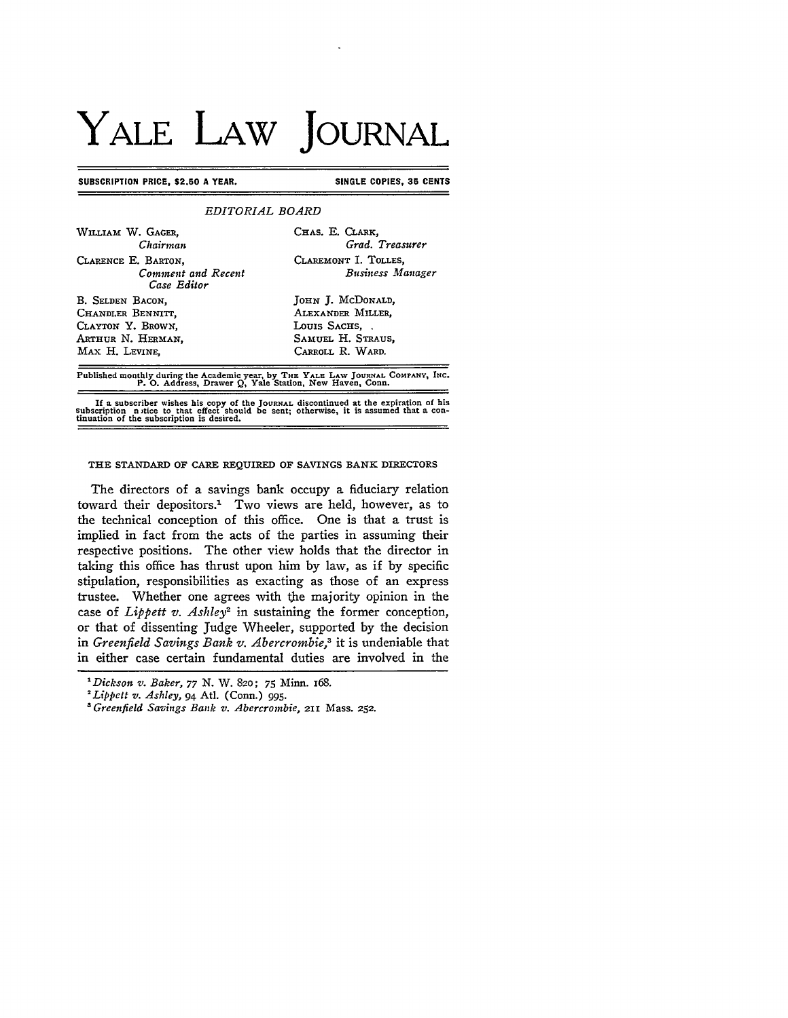# YALE LAW **JOURNAL**

**SUBSCRIPTION PRICE, \$2.50 A YEAR.** SINGLE COPIES, 35 CENTS

### *EDITORIAL BOARD*

| WILLIAM W. GAGER,                                                                                                                            | CHAS. E. CLARK,                          |
|----------------------------------------------------------------------------------------------------------------------------------------------|------------------------------------------|
| Chairman                                                                                                                                     | Grad. Treasurer                          |
| CLARENCE E. BARTON,<br>Comment and Recent<br>Case Editor                                                                                     | CLAREMONT I. TOLLES,<br>Business Manager |
| B. Selden Bacon,                                                                                                                             | JOHN J. MCDONALD,                        |
| CHANDLER BENNITT,                                                                                                                            | ALEXANDER MILLER.                        |
| CLAYTON Y. BROWN,                                                                                                                            | Louis Sachs                              |
| Arthur N. Herman,                                                                                                                            | SAMUEL H. STRAUS.                        |
| MAX H. LEVINE,                                                                                                                               | CARROLL R. WARD.                         |
| Published monthly during the Academic year, by THE YALE LAW JOURNAL COMPANY, INC.<br>P. O. Address, Drawer Q, Yale Station, New Haven, Conn. |                                          |
|                                                                                                                                              |                                          |

If a subscriber wishes his copy of the Journal discontinued at the expiration of his<br>subscription nuice to that effect should be sent; otherwise, it is assumed that a con-<br>tinuation of the subscription is desired.

#### **THE STANDARD** OF CARE REQUIRED **OF** SAVINGS BANK **DIRECTORS**

The directors of a savings bank occupy a fiduciary relation toward their depositors." Two views are held, however, as to the technical conception of this office. One is that a trust is implied in fact from the acts of the parties in assuming their respective positions. The other view holds that the director in taking this office has thrust upon him **by** law, as if **by** specific stipulation, responsibilities as exacting as those of an express trustee. Whether one agrees with the majority opinion in the case of *Lippett v. Ashley*<sup>2</sup> in sustaining the former conception, or that of dissenting Judge Wheeler, supported **by** the decision in *Greenfield Savings Bank v. Abercrombie,3* it is undeniable that in either case certain fundamental duties are involved in the

*<sup>&#</sup>x27;Dickson v. Baker, 77* **N.** W. 820; *75* Minn. 168.

*<sup>&#</sup>x27;Lippett v. Ashley,* 94 At. (Conn.) **995.**

*<sup>&#</sup>x27;Greenfield Savings Bank v. Abercroinbie,* **211 Mass. 252.**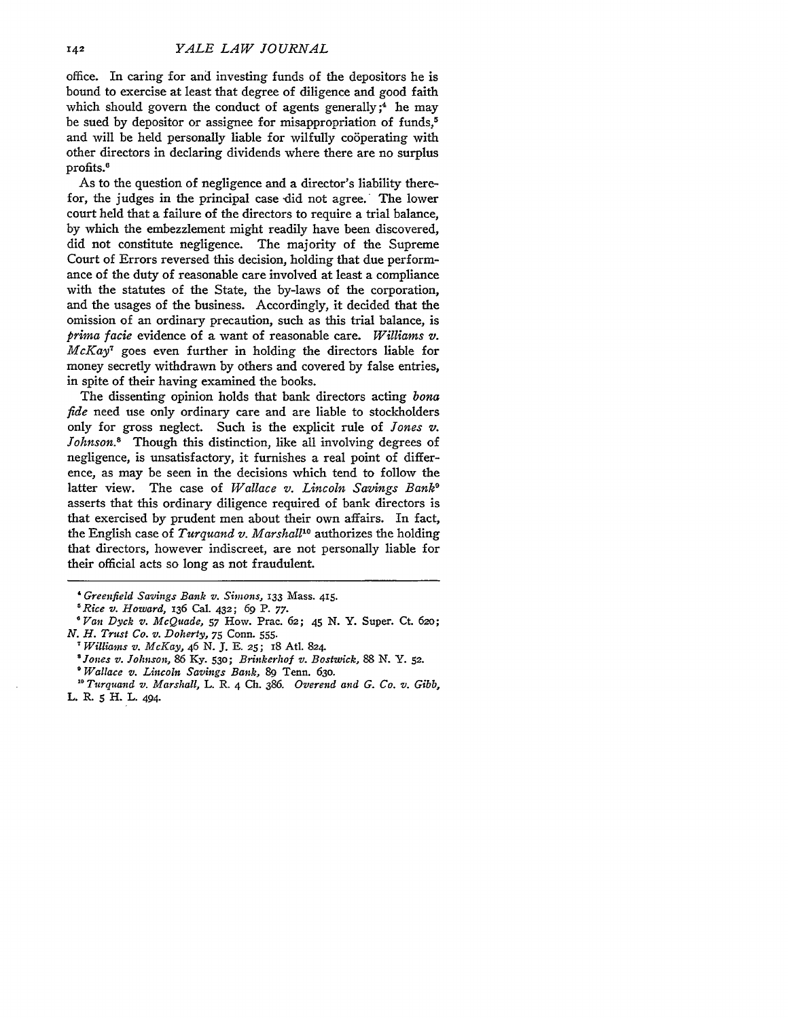office. In caring for and investing funds of the depositors he is bound to exercise at least that degree of diligence and good faith which should govern the conduct of agents generally; $*$  he may be sued by depositor or assignee for misappropriation of funds,<sup>5</sup> and will be held personally liable for wilfully coöperating with other directors in declaring dividends where there are no surplus profits.<sup>6</sup>

As to the question of negligence and a director's liability therefor, the judges in the principal case did not agree. The lower court held that a failure of the directors to require a trial balance, by which the embezzlement might readily have been discovered, did not constitute negligence. The majority of the Supreme Court of Errors reversed this decision, holding that due performance of the duty of reasonable care involved at least a compliance with the statutes of the State, the by-laws of the corporation, and the usages of the business. Accordingly, it decided that the omission of an ordinary precaution, such as this trial balance, is *prima facie* evidence of a want of reasonable care. *Williams v. McKay7* goes even further in holding the directors liable for money secretly withdrawn by others and covered by false entries, in spite of their having examined the books.

The dissenting opinion holds that bank directors acting *bona fide* need use only ordinary care and are liable to stockholders only for gross neglect. Such is the explicit rule of *Jones v. Johnson.8* Though this distinction, like all involving degrees of negligence, is unsatisfactory, it furnishes a real point of difference, as may be seen in the decisions which tend to follow the latter view. The case of *Wallace v. Lincoln Savings Bank'* asserts that this ordinary diligence required of bank directors is that exercised by prudent men about their own affairs. In fact, the English case of *Turquand v. Marshall*<sup>10</sup> authorizes the holding that directors, however indiscreet, are not personally liable for their official acts so long as not fraudulent.

*<sup>&#</sup>x27;Greenfield Savings Bank v. Simons,* **133** Mass. **415.**

*<sup>&#</sup>x27;Rice v. Howard,* **136** Cal. 432; *69* P. *77.*

*<sup>&#</sup>x27;Van Dyck v. McQuade, 57* How. Prac. 62; 45 *N.* Y. Super. Ct. 62o; *N. H. Trust Co. v. Doherty, 75* Conn. **555.**

*<sup>&#</sup>x27; Williams v. McKay, 46 N.* **J. E. 25;** 18 AtI. 824.

**<sup>S</sup>***ones v. Johnson, 86 Ky.* **530;** *Brinkerhof v. Bostwick, 88 N.* Y. **52.**

*<sup>&#</sup>x27;Wallace v. Lincoln Savings Bank, 89* Tenn. 63o.

*<sup>&</sup>quot; Turquaiid v. Marshall,* L. R. 4 Ch. **386.** *Overend and G. Co. v. Gibb,* L. R. **5** H. L. 494.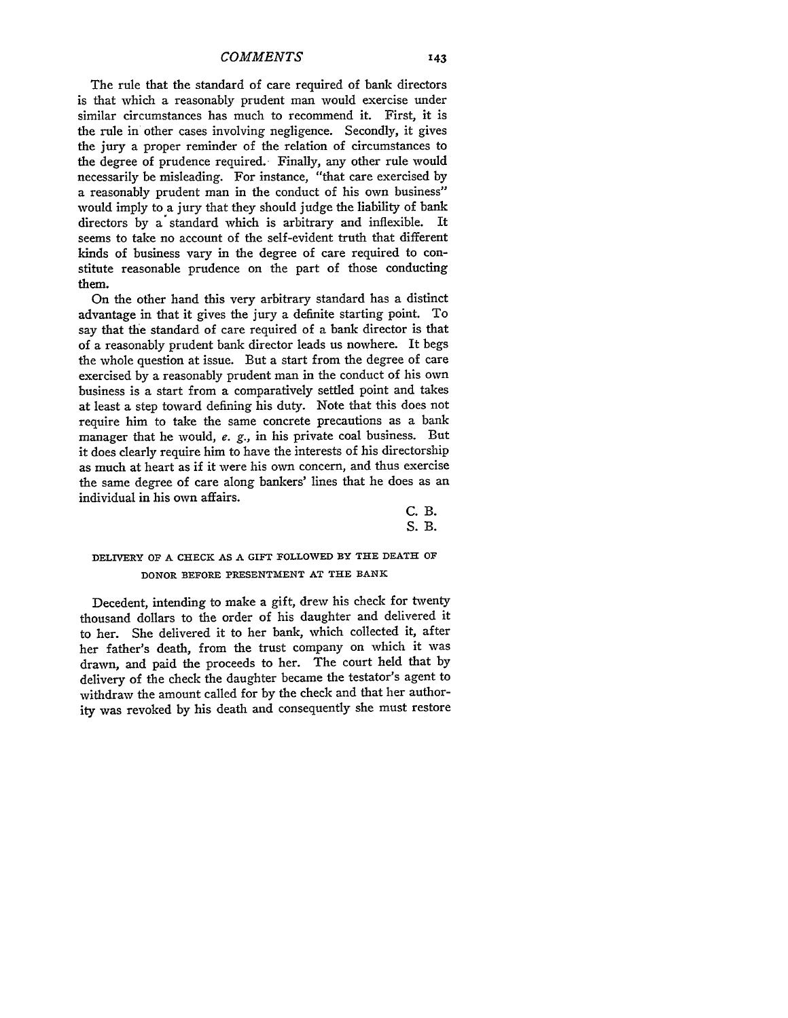*COMMENTS*

The rule that the standard of care required of bank directors is that which a reasonably prudent man would exercise under similar circumstances has much to recommend it. First, it is the rule in other cases involving negligence. Secondly, it gives the jury a proper reminder of the relation of circumstances to the degree of prudence required. Finally, any other rule would necessarily be misleading. For instance, "that care exercised by a reasonably prudent man in the conduct of his own business" would imply to a jury that they should judge the liability of bank directors by a standard which is arbitrary and inflexible. It seems to take no account of the self-evident truth that different kinds of business vary in the degree of care required to constitute reasonable prudence on the part of those conducting them.

On the other hand this very arbitrary standard has a distinct advantage in that it gives the jury a definite starting point. To say that the standard of care required of a bank director is that of a reasonably prudent bank director leads us nowhere. It begs the whole question at issue. But a start from the degree of care exercised by a reasonably prudent man in the conduct of his own business is a start from a comparatively settled point and takes at least a step toward defining his duty. Note that this does not require him to take the same concrete precautions as a bank manager that he would, e. *g.,* in his private coal business. But it does clearly require him to have the interests of his directorship as much at heart as if it were his own concern, and thus exercise the same degree of care along bankers' lines that he does as an individual in his own affairs.

> C. B. S. B.

## DELIVERY **OF A CHECK AS A** GIFT FOLLOWED BY **THE DEATH** OF **DONOR BEFORE PRESENTMENT AT THE BANK**

Decedent, intending to make a gift, drew his check for twenty thousand dollars to the order of his daughter and delivered it to her. She delivered it to her bank, which collected it, after her father's death, from the trust company on which it was drawn, and paid the proceeds to her. The court held that by delivery of the check the daughter became the testator's agent to withdraw the amount called for by the check and that her authority was revoked by his death and consequently she must restore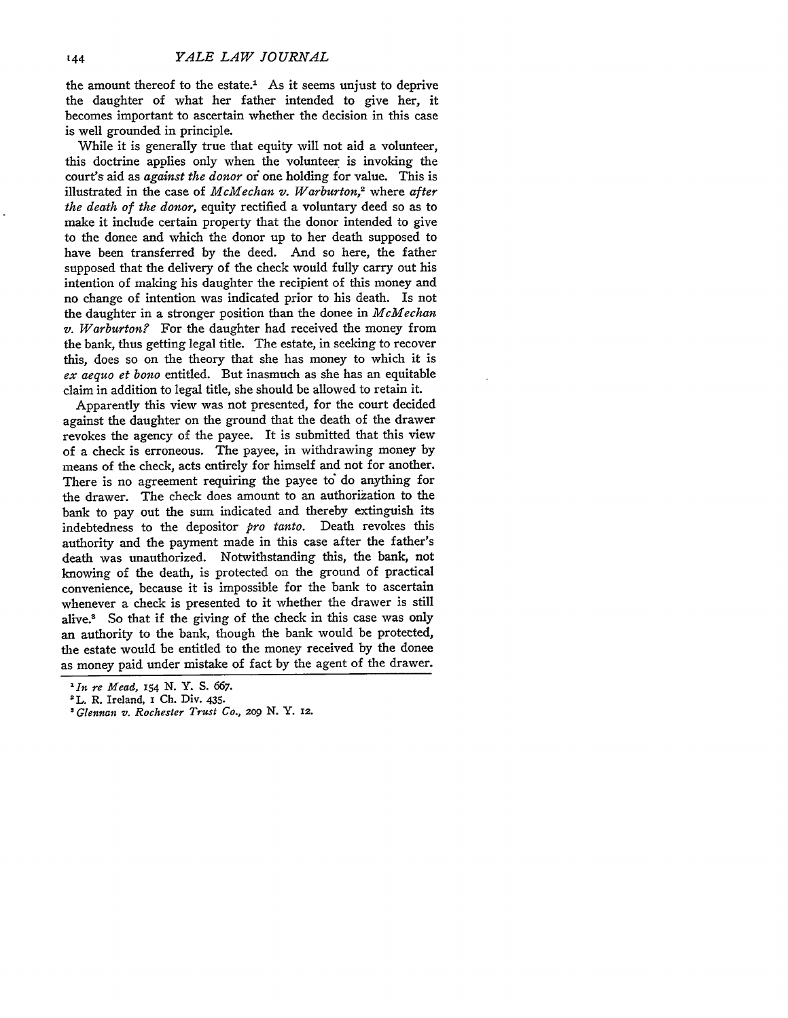the amount thereof to the estate.' As it seems unjust to deprive the daughter of what her father intended to give her, it becomes important to ascertain whether the decision in this case is well grounded in principle.

While it is generally true that equity will not aid a volunteer, this doctrine applies only when the volunteer is invoking the court's aid as *against the donor* or one holding for value. This is illustrated in the case of *McMechan v. Warburton,2* where *after the death of the donor,* equity rectified a voluntary deed so as to make it include certain property that the donor intended to give to the donee and which the donor up to her death supposed to have been transferred by the deed. And so here, the father supposed that the delivery of the check would fully carry out his intention of making his daughter the recipient of this money and no change of intention was indicated prior to his death. Is not the daughter in a stronger position than the donee in *McMechan v. Warburton?* For the daughter had received the money from the bank, thus getting legal title. The estate, in seeking to recover this, does so on the theory that she has money to which it is *ex aequo et bono* entitled. But inasmuch as she has an equitable claim in addition to legal title, she should be allowed to retain it.

Apparently this view was not presented, for the court decided against the daughter on the ground that the death of the drawer revokes the agency of the payee. It is submitted that this view of a check is erroneous. The payee, in withdrawing money by means of the check, acts entirely for himself and not for another. There is no agreement requiring the payee *t6* do anything for the drawer. The check does amount to an authorization to the bank to pay out the sum indicated and thereby extinguish its indebtedness to the depositor *pro tanto.* Death revokes this authority and the payment made in this case after the father's death was unauthorized. Notwithstanding this, the bank, not knowing of the death, is protected on the ground of practical convenience, because it is impossible for the bank to ascertain whenever a check is presented to it whether the drawer is still alive.3 So that if the giving of the check in this case was only an authority to the bank, though the bank would be protected, the estate would be entitled to the money received by the donee as money paid under mistake of fact by the agent of the drawer.

*<sup>.</sup>In re Mead, 154* **N.** Y. **S.** 667.

<sup>1</sup>L. R. Ireland, i **Ch.** Div. 435.

*<sup>&#</sup>x27;Glennan v. Rochester Trust Co.,* **2o9 N.** Y. *12.*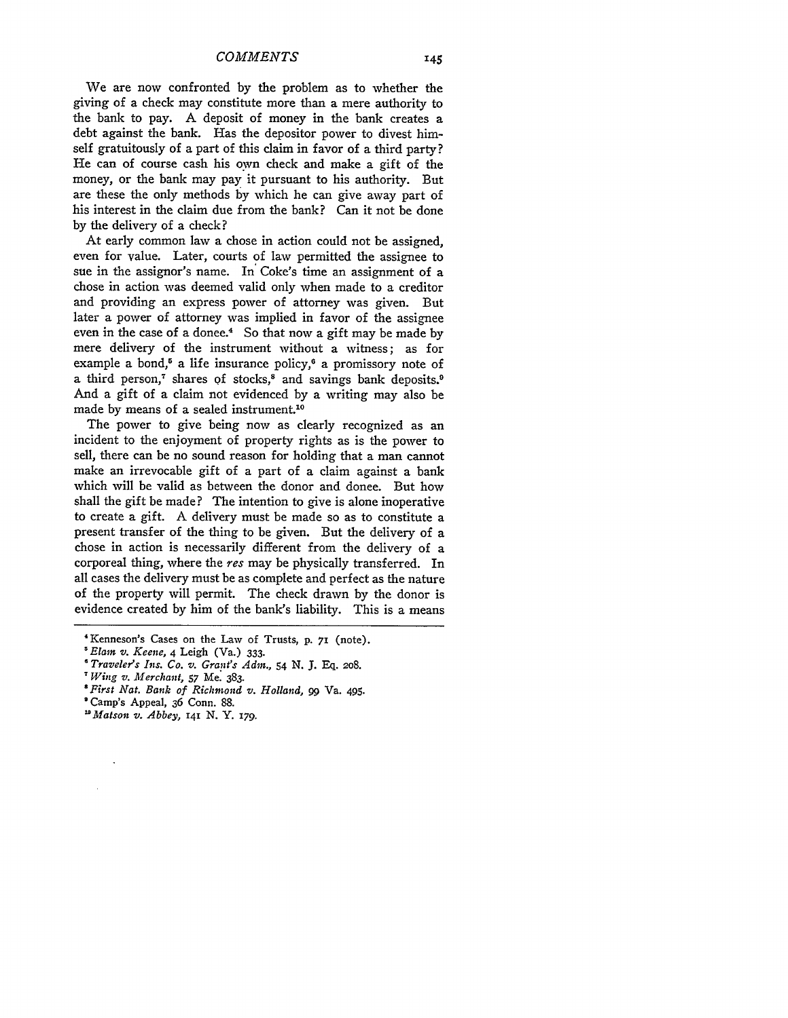We are now confronted by the problem as to whether the giving of a check may constitute more than a mere authority to the bank to pay. A deposit of money in the bank creates a debt against the bank. Has the depositor power to divest himself gratuitously of a part of this claim in favor of a third party? He can of course cash his own check and make a gift of the money, or the bank may pay it pursuant to his authority. But are these the only methods by which he can give away part of his interest in the claim due from the bank? Can it not be done by the delivery of a check?

At early common law a chose in action could not be assigned, even for value. Later, courts of law permitted the assignee to sue in the assignor's name. In Coke's time an assignment of a chose in action was deemed valid only when made to a creditor and providing an express power of attorney was given. But later a power of attorney was implied in favor of the assignee even in the case of a donee. $4$  So that now a gift may be made by mere delivery of the instrument without a witness; as for example a bond,<sup> $5$ </sup> a life insurance policy, $6$  a promissory note of a third person,<sup>7</sup> shares of stocks,<sup>8</sup> and savings bank deposits.<sup>9</sup> And a gift of a claim not evidenced by a writing may also be made by means of a sealed instrument.<sup>10</sup>

The power to give being now as clearly recognized as an incident to the enjoyment of property rights as is the power to sell, there can be no sound reason for holding that a man cannot make an irrevocable gift of a part of a claim against a bank which will be valid as between the donor and donee. But how shall the gift be made? The intention to give is alone inoperative to create a gift. A delivery must be made so as to constitute a present transfer of the thing to be given. But the delivery of a chose in action is necessarily different from the delivery of a corporeal thing, where the res may be physically transferred. In all cases the delivery must be as complete and perfect as the nature of the property will permit. The check drawn by the donor is evidence created by him of the bank's liability. This is a means

*\*Elam v. Keene,* 4 Leigh (Va.) 333.

- 'Camp's Appeal, 36 Conn. **88.**
- *"Matson v. Abbey,* **141** *N.* Y. i79.

<sup>&</sup>quot;Kenneson's Cases on the Law of Trusts, p. **71** (note).

*<sup>&#</sup>x27;Traveler's Ins. Co. v. Grant's Adm.,* 54 **N. J. Eq.** 208.

*Wing v. Merchant, 57* Me. 383.

*<sup>&#</sup>x27;First Nat. Bank of Richmond v. Holland, 99* Va. 495.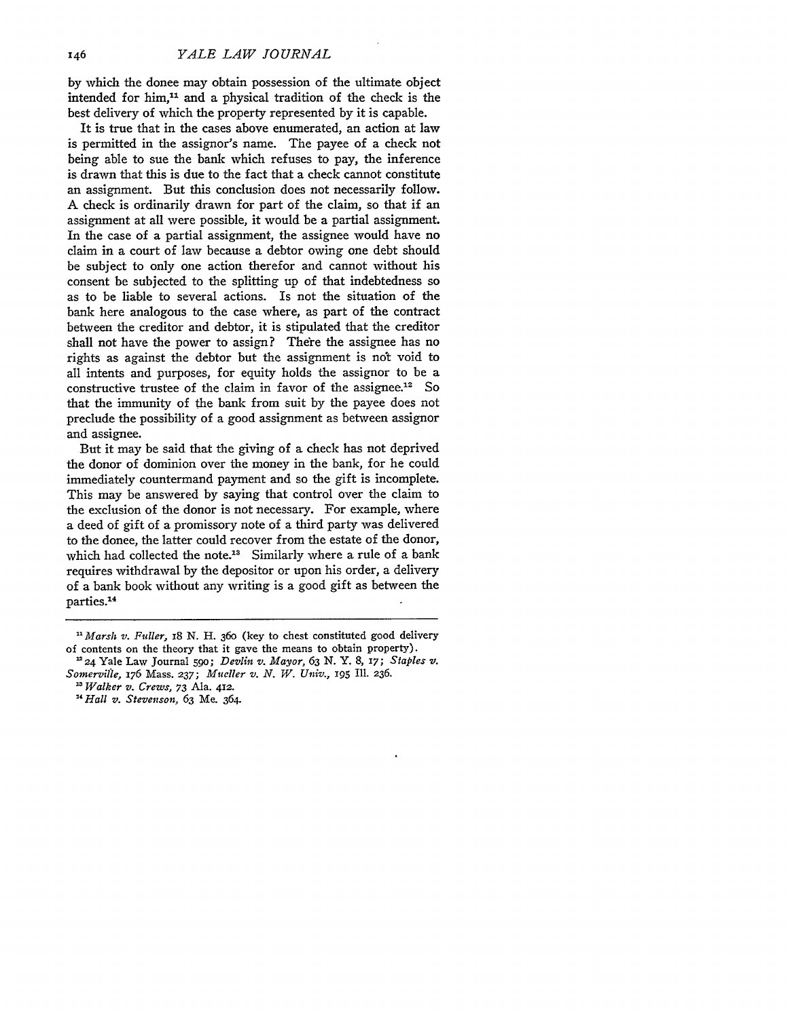**by** which the donee may obtain possession of the ultimate object intended for him,<sup>11</sup> and a physical tradition of the check is the best delivery of which the property represented **by** it is capable.

It is true that in the cases above enumerated, an action at law is permitted in the assignor's name. The payee of a check not being able to sue the bank which refuses to pay, the inference is drawn that this is due to the fact that a check cannot constitute an assignment. But this conclusion does not necessarily follow. A check is ordinarily drawn for part of the claim, so that if an assignment at all were possible, it would be a partial assignment. In the case of a partial assignment, the assignee would have no claim in a court of law because a debtor owing one debt should be subject to only one action therefor and cannot without his consent be subjected to the splitting up of that indebtedness so as to be liable to several actions. Is not the situation of the bank here analogous to the case where, as part of the contract between the creditor and debtor, it is stipulated that the creditor shall not have the power to assign? There the assignee has no rights as against the debtor but the assignment is not void to all intents and purposes, for equity holds the assignor to be a constructive trustee of the claim in favor of the assignee.<sup>12</sup> So that the immunity of the bank from suit **by** the payee does not preclude the possibility of a good assignment as between assignor and assignee.

But it may be said that the giving of a check has not deprived the donor of dominion over the money in the bank, for he could immediately countermand payment and so the gift is incomplete. This may be answered **by** saying that control over the claim to the exclusion of the donor is not necessary. For example, where a deed of gift of a promissory note of a third party was delivered to the donee, the latter could recover from the estate of the donor, which had collected the note.<sup>18</sup> Similarly where a rule of a bank requires withdrawal **by** the depositor or upon his order, a delivery of a bank book without any writing is a good gift as between the parties.<sup>14</sup>

*<sup>11</sup> Marsh v. Fuller,* **18 N.** H. 36o (key to chest constituted good delivery of contents on the theory that it gave the means to obtain property). 124 Yale Law Journal 59o; *Devlin v. Mayor,* 63 **N.** Y. 8, *17; Staples v.*

*Somerville,* 176 Mass. **237;** *Mueller v. N. W. Univ.,* **195** Ill. **236.**

*<sup>&</sup>quot; Walker v. Crews, 73* Ala. **412.**

*<sup>&</sup>quot;Hall v. Stevenson,* 63 Me. 364.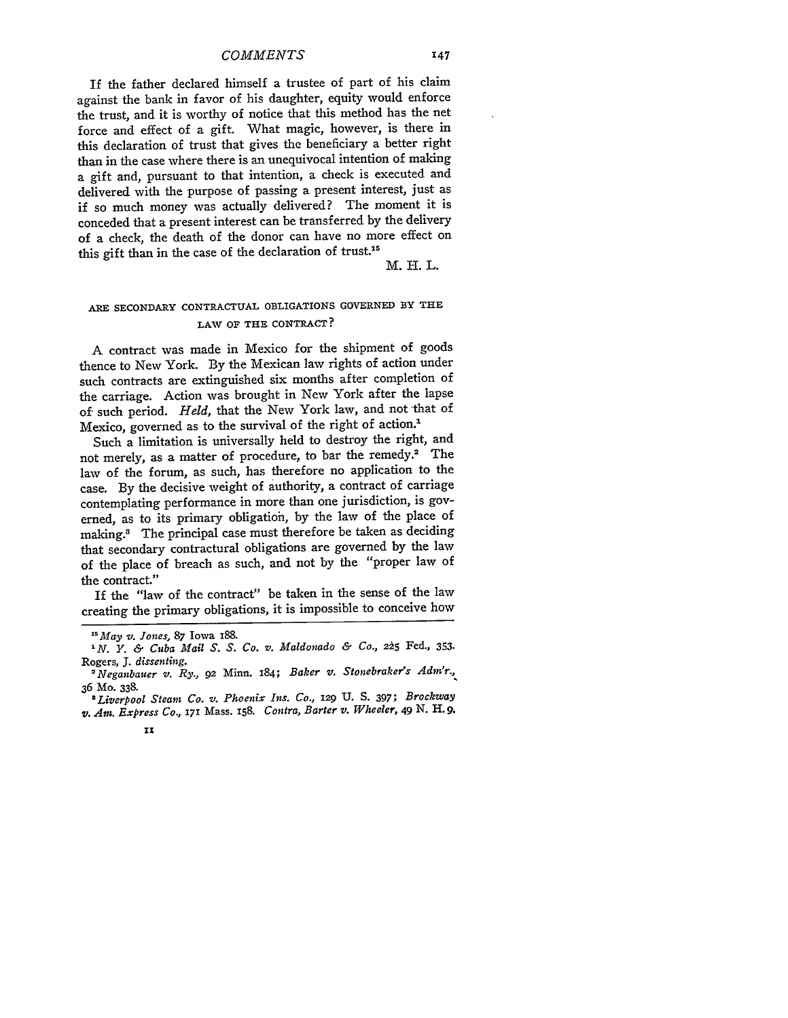*COMMENTS*

If the father declared himself a trustee of part of his claim against the bank in favor of his daughter, equity would enforce the trust, and it is worthy of notice that this method has the net force and effect of a gift. What magic, however, is there in this declaration of trust that gives the beneficiary a better right than in the case where there is an unequivocal intention of making a gift and, pursuant to that intention, a check is executed and delivered with the purpose of passing a present interest, just as if so much money was actually delivered? The moment it is conceded that a present interest can be transferred by the delivery of a check, the death of the donor can have no more effect on this gift than in the case of the declaration of trust.<sup>15</sup>

#### M. H. L.

## **ARE SECONDARY CONTRACTUAL OBLIGATIONS GOVERNED BY THE LAW OF THE CONTRACT?**

A contract was made in Mexico for the shipment of goods thence to New York. By the Mexican law rights of action under such contracts are extinguished six months after completion of the carriage. Action was brought in New York after the lapse of- such period. *Held,* that the New York law, and not that of Mexico, governed as to the survival of the right of action.'

Such a limitation is universally held to destroy the right, and not merely, as a matter of procedure, to bar the remedy.2 The law of the forum, as such, has therefore no application to the case. By the decisive weight of authority, a contract of carriage contemplating performance in more than one jurisdiction, is governed, as to its primary obligatioh, by the law of the place of making.3 The principal case must therefore be taken as deciding that secondary contractural obligations are governed by the law of the place of breach as such, and not by the "proper law of the contract."

If the "law of the contract" be taken in the sense of the law creating the primary obligations, it is impossible to conceive how

*<sup>&</sup>quot;hMay v. Jones,* **87** Iowa **188.**

*<sup>&#</sup>x27;N. Y. & Cuba Mail S. S. Co. v. Maldonado & Co.,* **225** Fed., **353.** Rogers, J. *dissenting.*

*<sup>&#</sup>x27;Neganbauer v. Ry., 92* Minn. 184; *Baker v. Stonebraker's Adm'r.,* 36 Mo. 338.

*<sup>&#</sup>x27;Liverpool Steam Co. v. Phoenix Ins. Co.,* 129 **U. S. 397;** *Brockway v. Ans. Express Co.,* **171** Mass. **i58.** *Contra, Barter v. Wheeler, 49* **N.** H. **9.**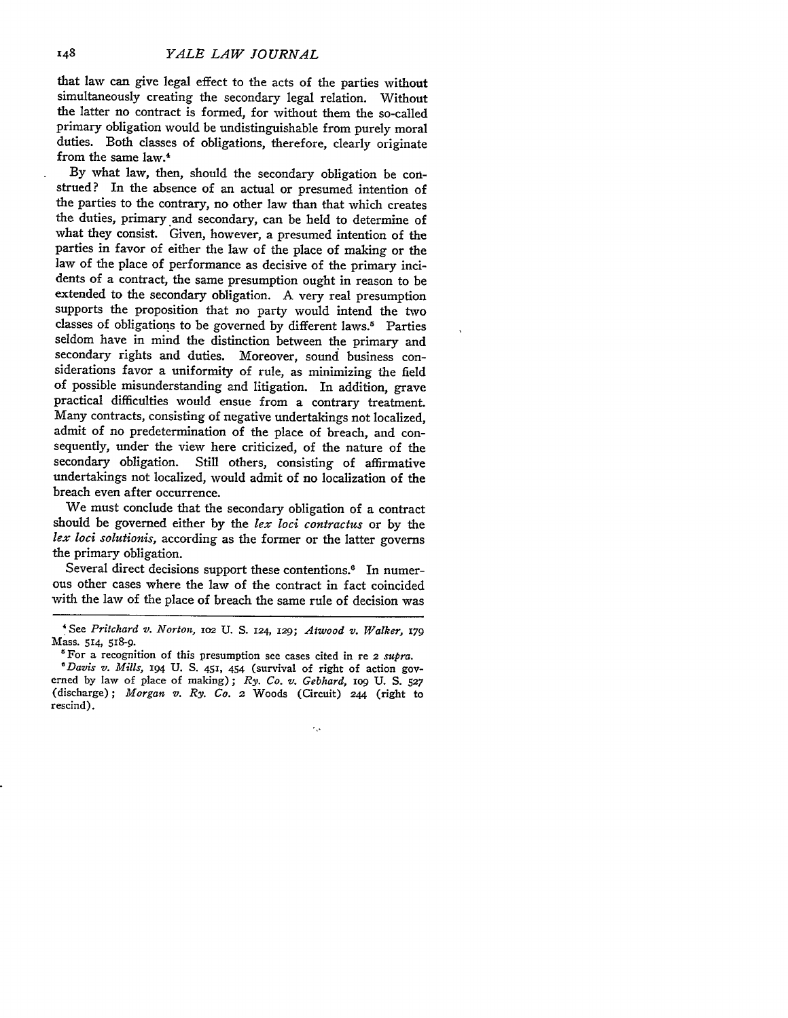that law can give legal effect to the acts of the parties without simultaneously creating the secondary legal relation. Without the latter no contract is formed, for without them the so-called primary obligation would be undistinguishable from purely moral duties. Both classes of obligations, therefore, clearly originate from the same law.4

By what law, then, should the secondary obligation be construed? In the absence of an actual or presumed intention of the parties to the contrary, no other law than that which creates the duties, primary and secondary, can be held to determine of what they consist. Given, however, a presumed intention of the parties in favor of either the law of the place of making or the law of the place of performance as decisive of the primary incidents of a contract, the same presumption ought in reason to be extended to the secondary obligation. A very real presumption supports the proposition that no party would intend the two classes of obligations to be governed by different laws.<sup>5</sup> Parties seldom have in mind the distinction between the primary and secondary rights and duties. Moreover, sound business considerations favor a uniformity of rule, as minimizing the field of possible misunderstanding and litigation. In addition, grave practical difficulties would ensue from a contrary treatment. Many contracts, consisting of negative undertakings not localized, admit of no predetermination of the place of breach, and consequently, under the view here criticized, of the nature of the secondary obligation. Still others, consisting of affirmative undertakings not localized, would admit of no localization of the breach even after occurrence.

We must conclude that the secondary obligation of a contract should be governed either by the *lex loci contractus* or by the *lex loci solutionis,* according as the former or the latter governs the primary obligation.

Several direct decisions support these contentions.<sup>6</sup> In numerous other cases where the law of the contract in fact coincided with the law of the place of breach the same rule of decision was

<sup>&</sup>quot;See *Pritchard v. Norton, lo2* **U.** S. 124, i29; *Atwood v. Walker, 179* Mass. 514, 518-9.

For a recognition of this presumption see cases cited in re 2 *supra.*

*<sup>&</sup>quot;Davis v. Mills, 194* U. S. 451, 454 (survival of right of action gov- erned by law of place of making); *Ry. Co. v. Gebhard, lO9* **U.** S. **<sup>527</sup>** (discharge); *Morgan v. Ry. Co.* 2 Woods (Circuit) 244 (right to rescind).